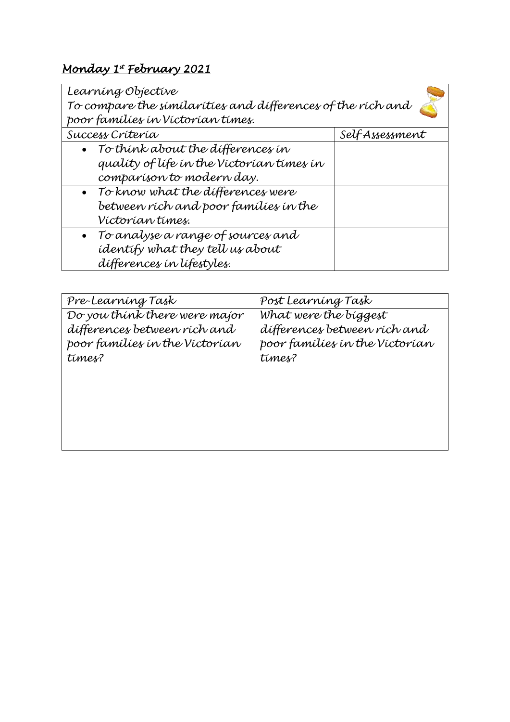## *Monday 1st February 2021*

| Learning Objective                                          |                |  |
|-------------------------------------------------------------|----------------|--|
| To compare the similarities and differences of the rich and |                |  |
| poor famílíes ín Víctorían tímes.                           |                |  |
| Success Criteria                                            | SelfAssessment |  |
| To think about the differences in                           |                |  |
| quality of life in the Victorian times in                   |                |  |
| comparíson to modern day.                                   |                |  |
| • To know what the differences were                         |                |  |
| between rích and poor famílíes ín the                       |                |  |
| Víctorian tímes.                                            |                |  |
| • To analyse a range of sources and                         |                |  |
| identify what they tell us about                            |                |  |
| dífferences in lifestyles.                                  |                |  |

| Pre-Learning Task              | Post Learning Task             |
|--------------------------------|--------------------------------|
| Do you think there were major  | What were the biggest          |
| dífferences between rích and   | differences between rich and   |
| poor famílies in the Victorian | poor famílies in the Victorian |
| times?                         | times?                         |
|                                |                                |
|                                |                                |
|                                |                                |
|                                |                                |
|                                |                                |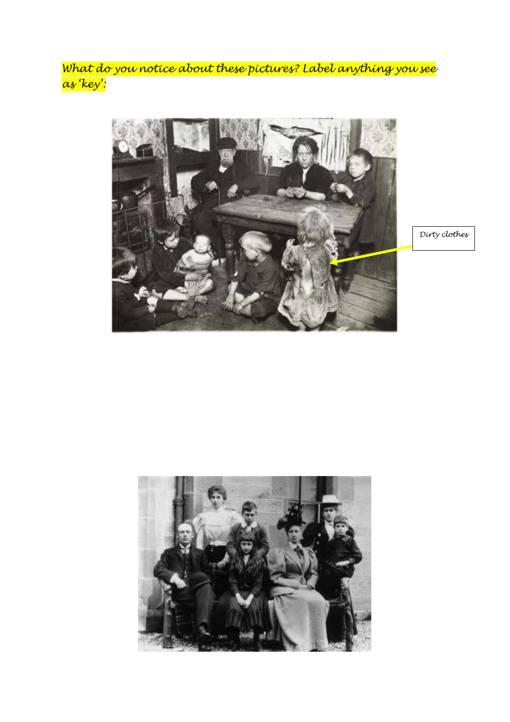*What do you notice about these pictures? Label anything you see as 'key':*



*Dirty clothes*